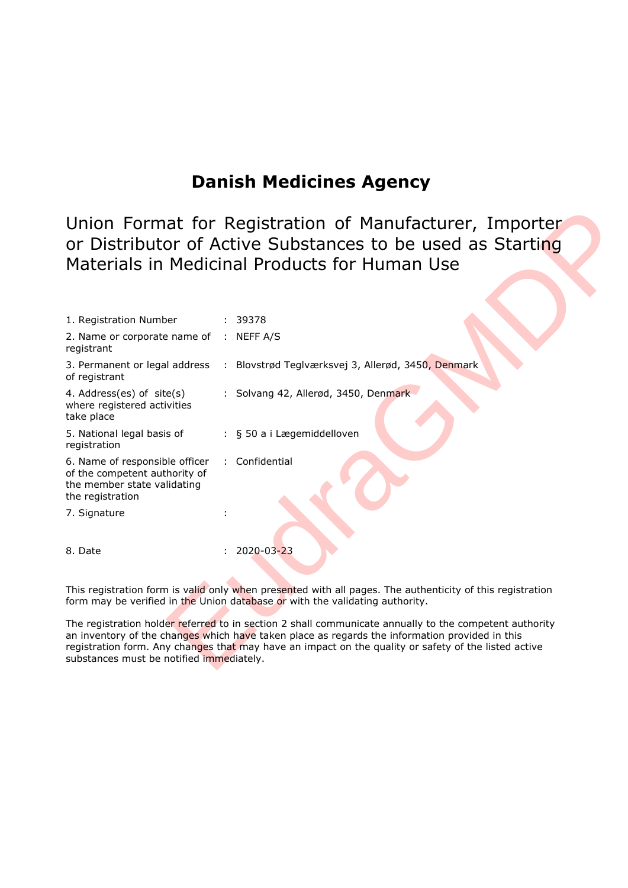## **Danish Medicines Agency**

| Union Format for Registration of Manufacturer, Importer<br>or Distributor of Active Substances to be used as Starting<br>Materials in Medicinal Products for Human Use                                                                                                                                                                                       |                                                                                  |  |
|--------------------------------------------------------------------------------------------------------------------------------------------------------------------------------------------------------------------------------------------------------------------------------------------------------------------------------------------------------------|----------------------------------------------------------------------------------|--|
| 1. Registration Number                                                                                                                                                                                                                                                                                                                                       | : 39378                                                                          |  |
| 2. Name or corporate name of : NEFF A/S<br>registrant                                                                                                                                                                                                                                                                                                        |                                                                                  |  |
| of registrant                                                                                                                                                                                                                                                                                                                                                | 3. Permanent or legal address : Blovstrød Teglværksvej 3, Allerød, 3450, Denmark |  |
| 4. Address(es) of site(s)<br>where registered activities<br>take place                                                                                                                                                                                                                                                                                       | : Solvang 42, Allerød, 3450, Denmark                                             |  |
| 5. National legal basis of<br>registration                                                                                                                                                                                                                                                                                                                   | : § 50 a i Lægemiddelloven                                                       |  |
| 6. Name of responsible officer<br>of the competent authority of<br>the member state validating<br>the registration                                                                                                                                                                                                                                           | : Confidential                                                                   |  |
| 7. Signature                                                                                                                                                                                                                                                                                                                                                 |                                                                                  |  |
| 8. Date                                                                                                                                                                                                                                                                                                                                                      | 2020-03-23                                                                       |  |
| This registration form is valid only when presented with all pages. The authenticity of this registration<br>form may be verified in the Union database or with the validating authority.                                                                                                                                                                    |                                                                                  |  |
| The registration holder referred to in section 2 shall communicate annually to the competent authority<br>an inventory of the changes which have taken place as regards the information provided in this<br>registration form. Any changes that may have an impact on the quality or safety of the listed active<br>substances must be notified immediately. |                                                                                  |  |